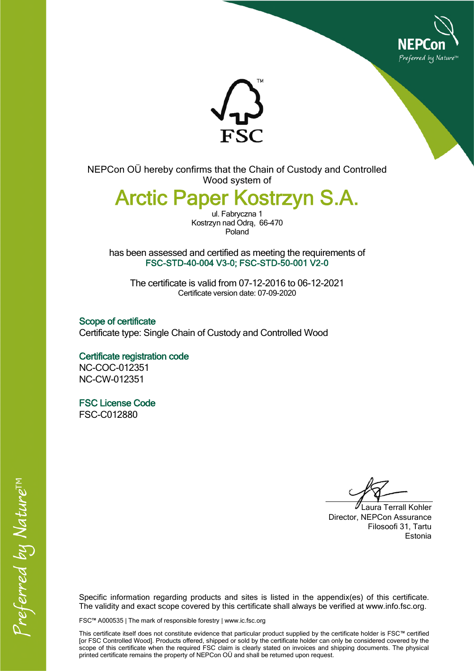



NEPCon OÜ hereby confirms that the Chain of Custody and Controlled Wood system of

## Arctic Paper Kostrzyn S.A.

ul. Fabryczna 1 Kostrzyn nad Odrą, 66-470 Poland

has been assessed and certified as meeting the requirements of FSC-STD-40-004 V3-0; FSC-STD-50-001 V2-0

The certificate is valid from 07-12-2016 to 06-12-2021 Certificate version date: 07-09-2020

Scope of certificate Certificate type: Single Chain of Custody and Controlled Wood

Certificate registration code NC-COC-012351 NC-CW-012351

FSC License Code FSC-C012880

Laura Terrall Kohler Director, NEPCon Assurance Filosoofi 31, Tartu Estonia

Specific information regarding products and sites is listed in the appendix(es) of this certificate. The validity and exact scope covered by this certificate shall always be verified at www.info.fsc.org.

FSC™ A000535 | The mark of responsible forestry | www.ic.fsc.org

This certificate itself does not constitute evidence that particular product supplied by the certificate holder is FSC™ certified [or FSC Controlled Wood]. Products offered, shipped or sold by the certificate holder can only be considered covered by the scope of this certificate when the required FSC claim is clearly stated on invoices and shipping documents. The physical printed certificate remains the property of NEPCon OÜ and shall be returned upon request.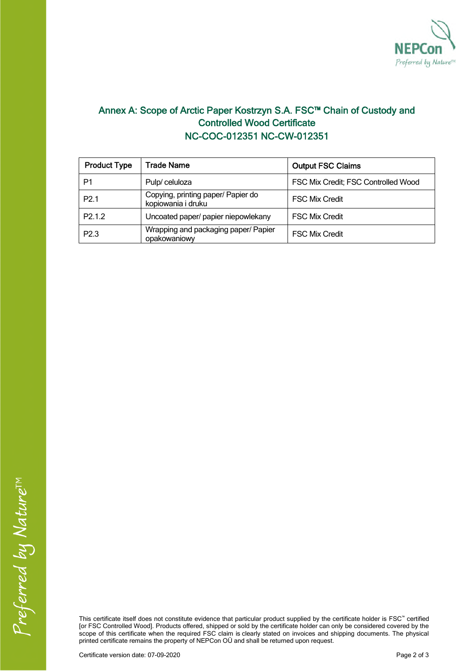

## Annex A: Scope of Arctic Paper Kostrzyn S.A. FSC™ Chain of Custody and Controlled Wood Certificate NC-COC-012351 NC-CW-012351

| <b>Product Type</b> | <b>Trade Name</b>                                        | <b>Output FSC Claims</b>            |  |
|---------------------|----------------------------------------------------------|-------------------------------------|--|
| P1                  | Pulp/celuloza                                            | FSC Mix Credit; FSC Controlled Wood |  |
| P <sub>2.1</sub>    | Copying, printing paper/ Papier do<br>kopiowania i druku | <b>FSC Mix Credit</b>               |  |
| P <sub>2.1.2</sub>  | Uncoated paper/ papier niepowlekany                      | <b>FSC Mix Credit</b>               |  |
| P <sub>2.3</sub>    | Wrapping and packaging paper/ Papier<br>opakowaniowy     | <b>FSC Mix Credit</b>               |  |

This certificate itself does not constitute evidence that particular product supplied by the certificate holder is FSC™ certified [or FSC Controlled Wood]. Products offered, shipped or sold by the certificate holder can only be considered covered by the scope of this certificate when the required FSC claim is clearly stated on invoices and shipping documents. The physical printed certificate remains the property of NEPCon OÜ and shall be returned upon request.